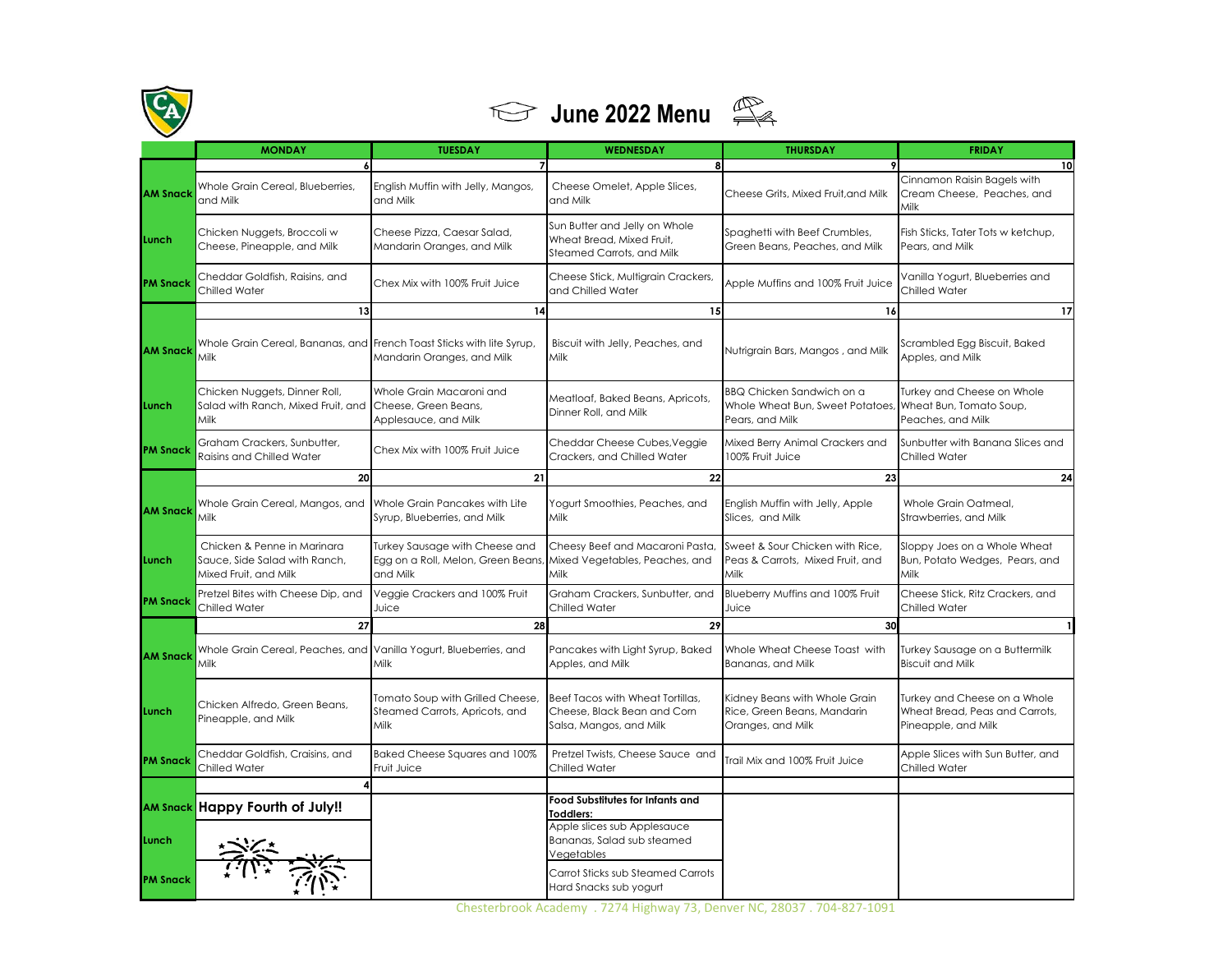



|                 | <b>MONDAY</b>                                                                         | <b>TUESDAY</b>                                                                   | WEDNESDAY                                                                                  | <b>THURSDAY</b>                                                                   | <b>FRIDAY</b>                                                                         |
|-----------------|---------------------------------------------------------------------------------------|----------------------------------------------------------------------------------|--------------------------------------------------------------------------------------------|-----------------------------------------------------------------------------------|---------------------------------------------------------------------------------------|
|                 | $\boldsymbol{6}$                                                                      |                                                                                  | 8                                                                                          |                                                                                   | 10                                                                                    |
| <b>AM Snack</b> | Whole Grain Cereal, Blueberries,<br>and Milk                                          | English Muffin with Jelly, Mangos,<br>and Milk                                   | Cheese Omelet, Apple Slices,<br>and Milk                                                   | Cheese Grits, Mixed Fruit, and Milk                                               | Cinnamon Raisin Bagels with<br>Cream Cheese, Peaches, and<br>Milk                     |
| <b>Lunch</b>    | Chicken Nuggets, Broccoli w<br>Cheese, Pineapple, and Milk                            | Cheese Pizza, Caesar Salad,<br>Mandarin Oranges, and Milk                        | Sun Butter and Jelly on Whole<br>Wheat Bread, Mixed Fruit,<br>Steamed Carrots, and Milk    | Spaghetti with Beef Crumbles,<br>Green Beans, Peaches, and Milk                   | Fish Sticks, Tater Tots w ketchup,<br>Pears, and Milk                                 |
| <b>PM Snack</b> | Cheddar Goldfish, Raisins, and<br>Chilled Water                                       | Chex Mix with 100% Fruit Juice                                                   | Cheese Stick, Multigrain Crackers,<br>and Chilled Water                                    | Apple Muffins and 100% Fruit Juice                                                | Vanilla Yogurt, Blueberries and<br>Chilled Water                                      |
|                 | 13                                                                                    | 14                                                                               | 15                                                                                         | 16                                                                                | 17                                                                                    |
| <b>AM Snacl</b> | Whole Grain Cereal, Bananas, and French Toast Sticks with lite Syrup,<br>Milk         | Mandarin Oranges, and Milk                                                       | Biscuit with Jelly, Peaches, and<br>Milk                                                   | Nutrigrain Bars, Mangos, and Milk                                                 | Scrambled Egg Biscuit, Baked<br>Apples, and Milk                                      |
| Lunch           | Chicken Nuggets, Dinner Roll,<br>Salad with Ranch, Mixed Fruit, and<br>Milk           | Whole Grain Macaroni and<br>Cheese, Green Beans,<br>Applesauce, and Milk         | Meatloaf, Baked Beans, Apricots,<br>Dinner Roll, and Milk                                  | BBQ Chicken Sandwich on a<br>Whole Wheat Bun, Sweet Potatoes,<br>Pears, and Milk  | Turkey and Cheese on Whole<br>Wheat Bun, Tomato Soup,<br>Peaches, and Milk            |
| <b>PM Snacl</b> | Graham Crackers, Sunbutter,<br>Raisins and Chilled Water                              | Chex Mix with 100% Fruit Juice                                                   | Cheddar Cheese Cubes, Veggie<br>Crackers, and Chilled Water                                | Mixed Berry Animal Crackers and<br>100% Fruit Juice                               | Sunbutter with Banana Slices and<br>Chilled Water                                     |
|                 | 20                                                                                    | 21                                                                               | 22                                                                                         | 23                                                                                | 24                                                                                    |
| <b>AM Snack</b> | Whole Grain Cereal, Mangos, and<br>Milk                                               | Whole Grain Pancakes with Lite<br>Syrup, Blueberries, and Milk                   | Yogurt Smoothies, Peaches, and<br>Milk                                                     | English Muffin with Jelly, Apple<br>Slices, and Milk                              | Whole Grain Oatmeal,<br>Strawberries, and Milk                                        |
| Lunch           | Chicken & Penne in Marinara<br>Sauce, Side Salad with Ranch,<br>Mixed Fruit, and Milk | Turkey Sausage with Cheese and<br>Egg on a Roll, Melon, Green Beans,<br>and Milk | Cheesy Beef and Macaroni Pasta,<br>Mixed Vegetables, Peaches, and<br>Milk                  | Sweet & Sour Chicken with Rice,<br>Peas & Carrots, Mixed Fruit, and<br>Milk       | Sloppy Joes on a Whole Wheat<br>Bun, Potato Wedges, Pears, and<br>Milk                |
| <b>PM Snack</b> | Pretzel Bites with Cheese Dip, and<br><b>Chilled Water</b>                            | Veggie Crackers and 100% Fruit<br>Juice                                          | Graham Crackers, Sunbutter, and<br><b>Chilled Water</b>                                    | Blueberry Muffins and 100% Fruit<br>Juice                                         | Cheese Stick, Ritz Crackers, and<br>Chilled Water                                     |
|                 | 27                                                                                    | 28                                                                               | 29                                                                                         | 30                                                                                |                                                                                       |
| <b>AM Snack</b> | Whole Grain Cereal, Peaches, and<br>Milk                                              | Vanilla Yogurt, Blueberries, and<br>Milk                                         | Pancakes with Light Syrup, Baked<br>Apples, and Milk                                       | Whole Wheat Cheese Toast with<br>Bananas, and Milk                                | Turkey Sausage on a Buttermilk<br><b>Biscuit and Milk</b>                             |
| Lunch           | Chicken Alfredo, Green Beans,<br>Pineapple, and Milk                                  | Tomato Soup with Grilled Cheese,<br>Steamed Carrots, Apricots, and<br>Milk       | Beef Tacos with Wheat Tortillas.<br>Cheese, Black Bean and Corn<br>Salsa, Mangos, and Milk | Kidney Beans with Whole Grain<br>Rice, Green Beans, Mandarin<br>Oranges, and Milk | Turkey and Cheese on a Whole<br>Wheat Bread, Peas and Carrots,<br>Pineapple, and Milk |
| <b>PM Snack</b> | Cheddar Goldfish, Craisins, and<br>Chilled Water                                      | Baked Cheese Squares and 100%<br>Fruit Juice                                     | Pretzel Twists, Cheese Sauce and<br><b>Chilled Water</b>                                   | Trail Mix and 100% Fruit Juice                                                    | Apple Slices with Sun Butter, and<br>Chilled Water                                    |
|                 | AM Snack Happy Fourth of July!!                                                       |                                                                                  | Food Substitutes for Infants and<br><b>Toddlers:</b>                                       |                                                                                   |                                                                                       |
| Lunch           |                                                                                       |                                                                                  | Apple slices sub Applesauce<br>Bananas, Salad sub steamed<br>Vegetables                    |                                                                                   |                                                                                       |
| <b>PM Snack</b> |                                                                                       |                                                                                  | Carrot Sticks sub Steamed Carrots<br>Hard Snacks sub yogurt                                |                                                                                   |                                                                                       |